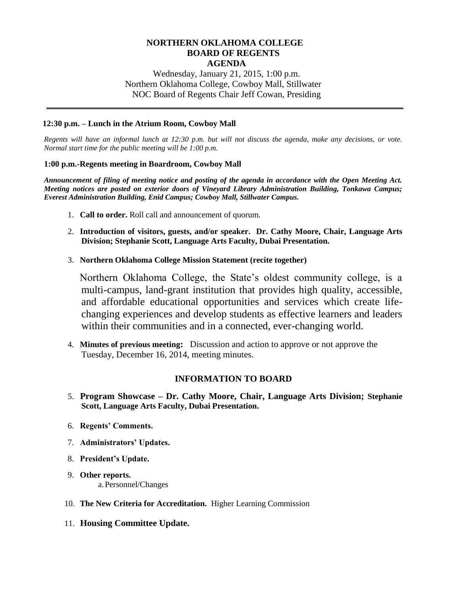#### **NORTHERN OKLAHOMA COLLEGE BOARD OF REGENTS AGENDA**

Wednesday, January 21, 2015, 1:00 p.m. Northern Oklahoma College, Cowboy Mall, Stillwater NOC Board of Regents Chair Jeff Cowan, Presiding

#### **12:30 p.m. – Lunch in the Atrium Room, Cowboy Mall**

*Regents will have an informal lunch at 12:30 p.m. but will not discuss the agenda, make any decisions, or vote. Normal start time for the public meeting will be 1:00 p.m.*

#### **1:00 p.m.-Regents meeting in Boardroom, Cowboy Mall**

*Announcement of filing of meeting notice and posting of the agenda in accordance with the Open Meeting Act. Meeting notices are posted on exterior doors of Vineyard Library Administration Building, Tonkawa Campus; Everest Administration Building, Enid Campus; Cowboy Mall, Stillwater Campus.*

- 1. **Call to order.** Roll call and announcement of quorum.
- 2. **Introduction of visitors, guests, and/or speaker. Dr. Cathy Moore, Chair, Language Arts Division; Stephanie Scott, Language Arts Faculty, Dubai Presentation.**
- 3. **Northern Oklahoma College Mission Statement (recite together)**

Northern Oklahoma College, the State's oldest community college, is a multi-campus, land-grant institution that provides high quality, accessible, and affordable educational opportunities and services which create lifechanging experiences and develop students as effective learners and leaders within their communities and in a connected, ever-changing world.

4. **Minutes of previous meeting:** Discussion and action to approve or not approve the Tuesday, December 16, 2014, meeting minutes.

#### **INFORMATION TO BOARD**

- 5. **Program Showcase – Dr. Cathy Moore, Chair, Language Arts Division; Stephanie Scott, Language Arts Faculty, Dubai Presentation.**
- 6. **Regents' Comments.**
- 7. **Administrators' Updates.**
- 8. **President's Update.**
- 9. **Other reports.** a.Personnel/Changes
- 10. **The New Criteria for Accreditation.** Higher Learning Commission
- 11. **Housing Committee Update.**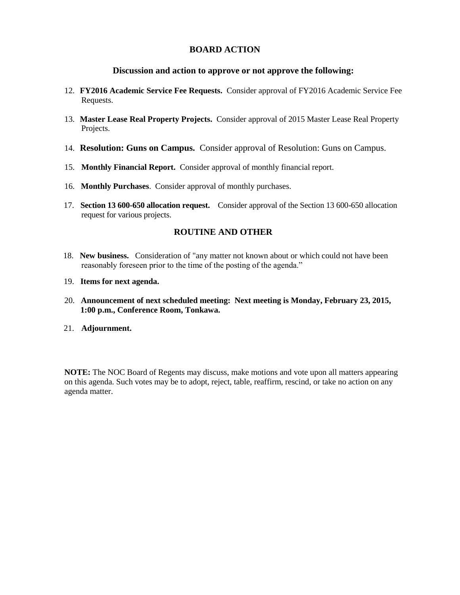#### **BOARD ACTION**

#### **Discussion and action to approve or not approve the following:**

- 12. **FY2016 Academic Service Fee Requests.** Consider approval of FY2016 Academic Service Fee Requests.
- 13. **Master Lease Real Property Projects.** Consider approval of 2015 Master Lease Real Property Projects.
- 14. **Resolution: Guns on Campus.** Consider approval of Resolution: Guns on Campus.
- 15. **Monthly Financial Report.** Consider approval of monthly financial report.
- 16. **Monthly Purchases**. Consider approval of monthly purchases.
- 17. **Section 13 600-650 allocation request.** Consider approval of the Section 13 600-650 allocation request for various projects.

#### **ROUTINE AND OTHER**

- 18. **New business.** Consideration of "any matter not known about or which could not have been reasonably foreseen prior to the time of the posting of the agenda."
- 19. **Items for next agenda.**
- 20. **Announcement of next scheduled meeting: Next meeting is Monday, February 23, 2015, 1:00 p.m., Conference Room, Tonkawa.**
- 21. **Adjournment.**

**NOTE:** The NOC Board of Regents may discuss, make motions and vote upon all matters appearing on this agenda. Such votes may be to adopt, reject, table, reaffirm, rescind, or take no action on any agenda matter.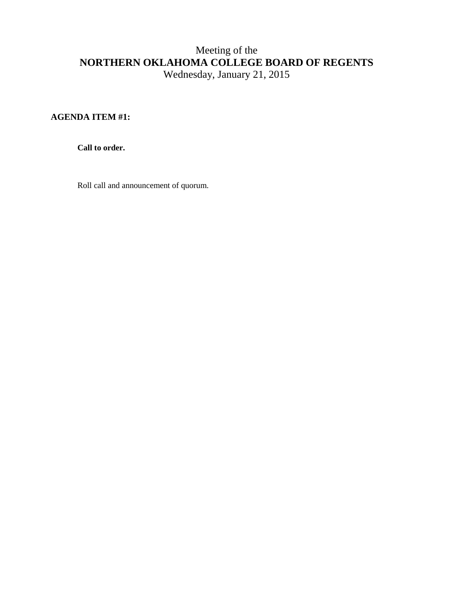### **AGENDA ITEM #1:**

**Call to order.**

Roll call and announcement of quorum.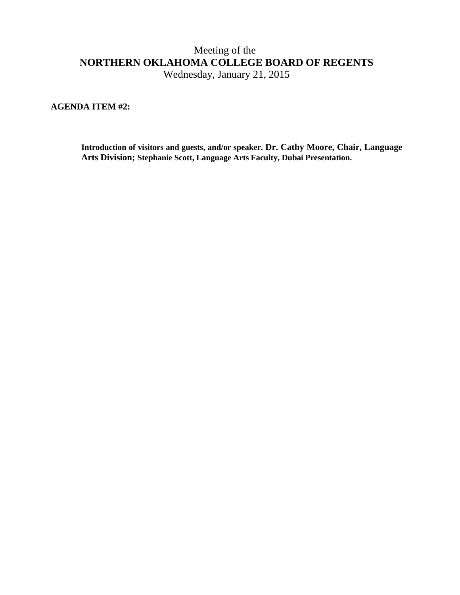Wednesday, January 21, 2015

**AGENDA ITEM #2:**

**Introduction of visitors and guests, and/or speaker. Dr. Cathy Moore, Chair, Language Arts Division; Stephanie Scott, Language Arts Faculty, Dubai Presentation.**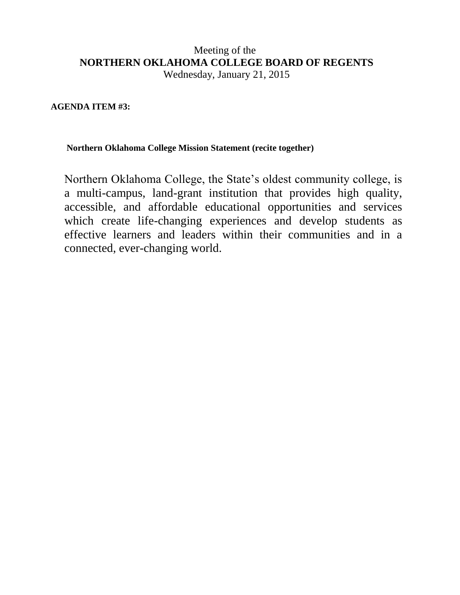Wednesday, January 21, 2015

### **AGENDA ITEM #3:**

### **Northern Oklahoma College Mission Statement (recite together)**

Northern Oklahoma College, the State's oldest community college, is a multi-campus, land-grant institution that provides high quality, accessible, and affordable educational opportunities and services which create life-changing experiences and develop students as effective learners and leaders within their communities and in a connected, ever-changing world.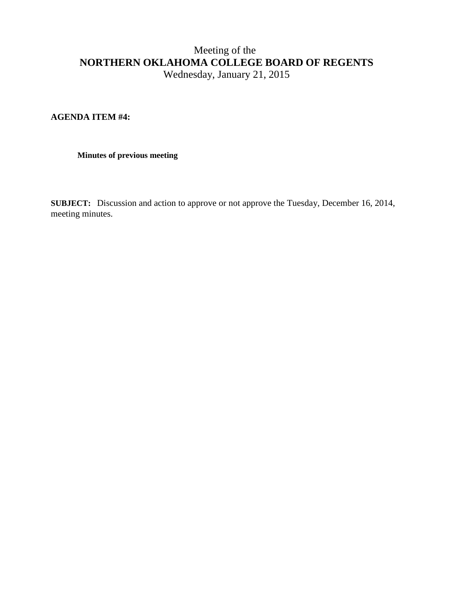### **AGENDA ITEM #4:**

#### **Minutes of previous meeting**

**SUBJECT:** Discussion and action to approve or not approve the Tuesday, December 16, 2014, meeting minutes.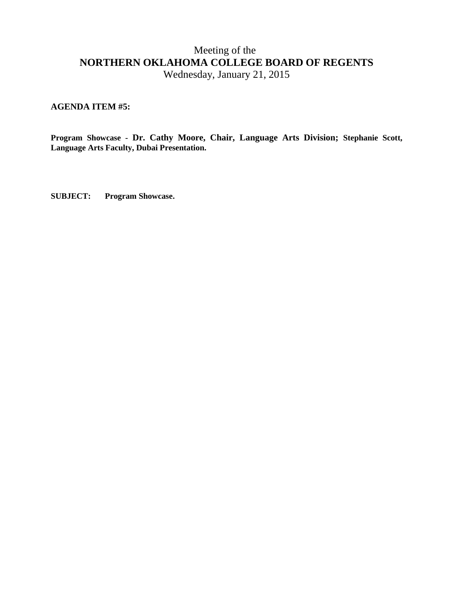Wednesday, January 21, 2015

### **AGENDA ITEM #5:**

**Program Showcase - Dr. Cathy Moore, Chair, Language Arts Division; Stephanie Scott, Language Arts Faculty, Dubai Presentation.**

**SUBJECT: Program Showcase.**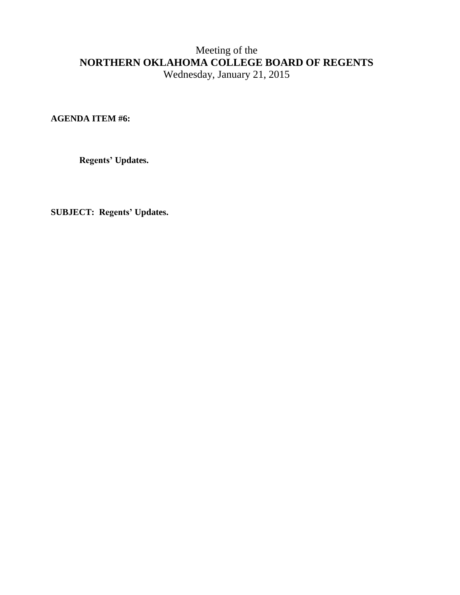**AGENDA ITEM #6:**

**Regents' Updates.**

**SUBJECT: Regents' Updates.**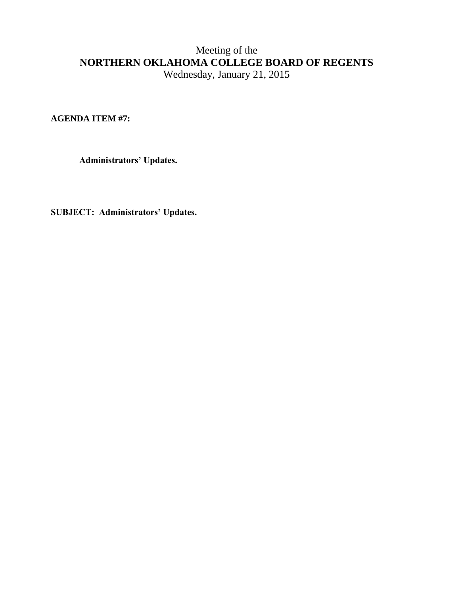**AGENDA ITEM #7:**

**Administrators' Updates.**

**SUBJECT: Administrators' Updates.**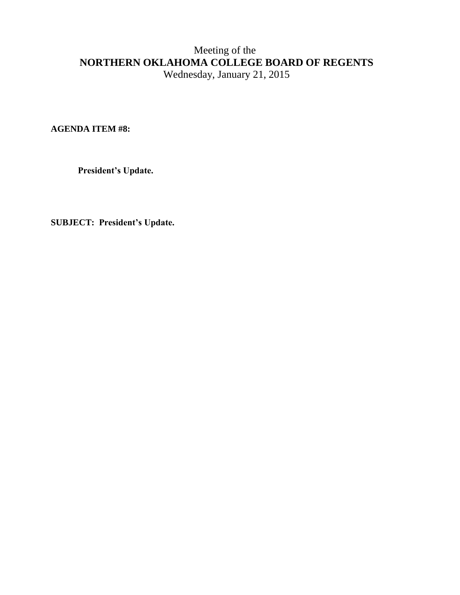**AGENDA ITEM #8:**

**President's Update.**

**SUBJECT: President's Update.**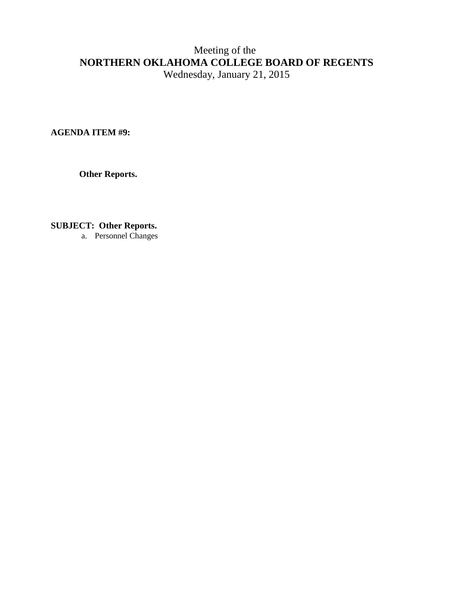**AGENDA ITEM #9:** 

**Other Reports.**

**SUBJECT: Other Reports.**

a. Personnel Changes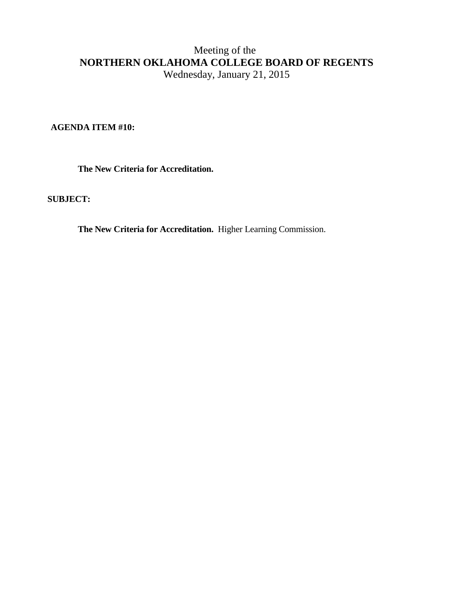**AGENDA ITEM #10:** 

 **The New Criteria for Accreditation.** 

#### **SUBJECT:**

**The New Criteria for Accreditation.** Higher Learning Commission.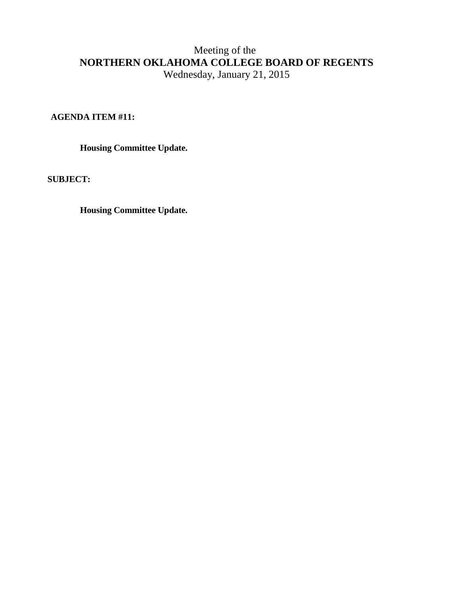### **AGENDA ITEM #11:**

 **Housing Committee Update.**

**SUBJECT:** 

**Housing Committee Update.**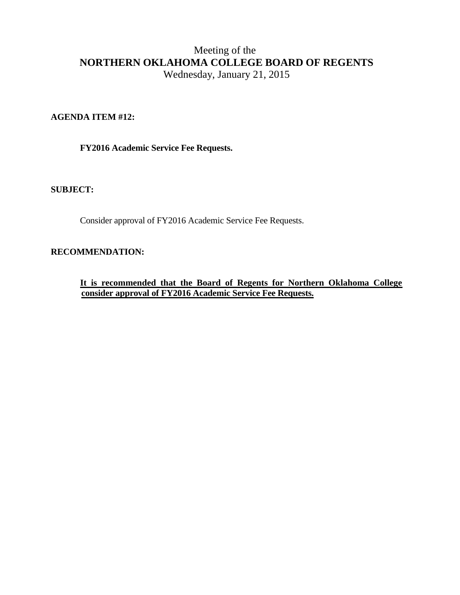### **AGENDA ITEM #12:**

 **FY2016 Academic Service Fee Requests.**

#### **SUBJECT:**

Consider approval of FY2016 Academic Service Fee Requests.

### **RECOMMENDATION:**

**It is recommended that the Board of Regents for Northern Oklahoma College consider approval of FY2016 Academic Service Fee Requests.**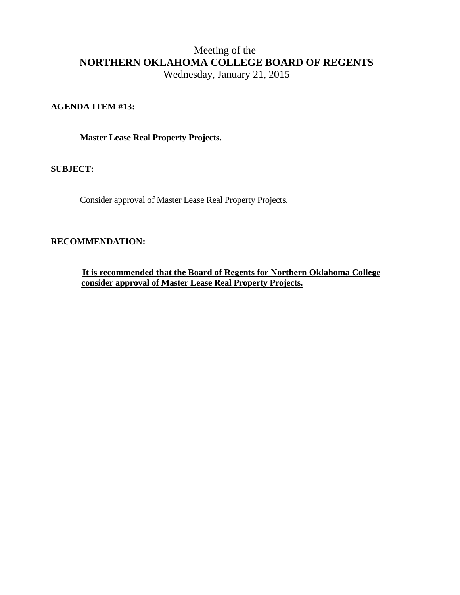### **AGENDA ITEM #13:**

 **Master Lease Real Property Projects.** 

**SUBJECT:**

Consider approval of Master Lease Real Property Projects.

### **RECOMMENDATION:**

**It is recommended that the Board of Regents for Northern Oklahoma College consider approval of Master Lease Real Property Projects.**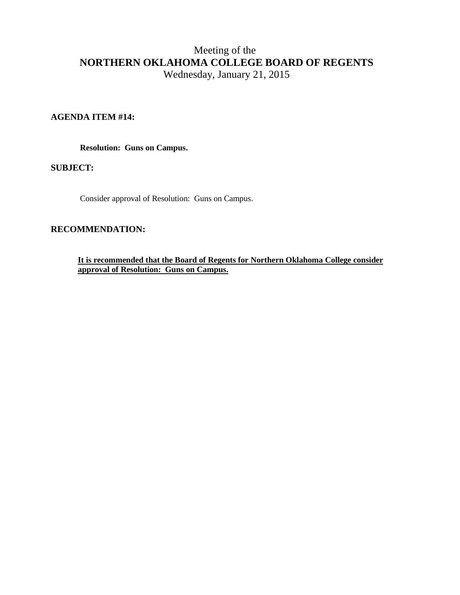### **AGENDA ITEM #14:**

 **Resolution: Guns on Campus.**

**SUBJECT:**

Consider approval of Resolution: Guns on Campus.

#### **RECOMMENDATION:**

**It is recommended that the Board of Regents for Northern Oklahoma College consider approval of Resolution: Guns on Campus.**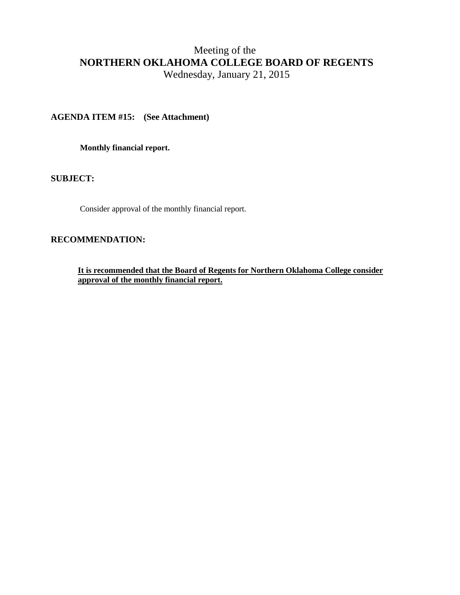### **AGENDA ITEM #15: (See Attachment)**

**Monthly financial report.** 

**SUBJECT:**

Consider approval of the monthly financial report.

#### **RECOMMENDATION:**

**It is recommended that the Board of Regents for Northern Oklahoma College consider approval of the monthly financial report.**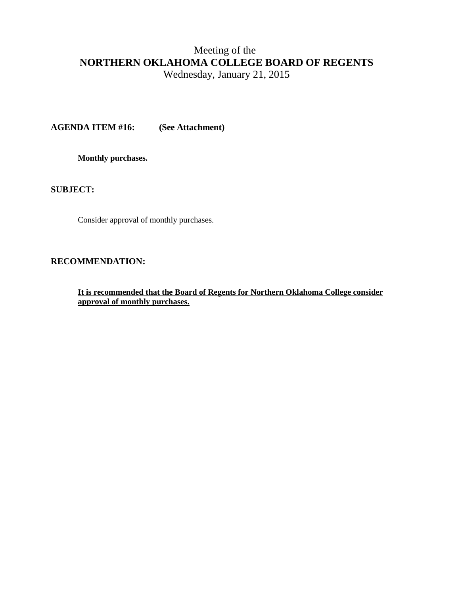Wednesday, January 21, 2015

**AGENDA ITEM #16: (See Attachment)**

**Monthly purchases.** 

**SUBJECT:**

Consider approval of monthly purchases.

#### **RECOMMENDATION:**

**It is recommended that the Board of Regents for Northern Oklahoma College consider approval of monthly purchases.**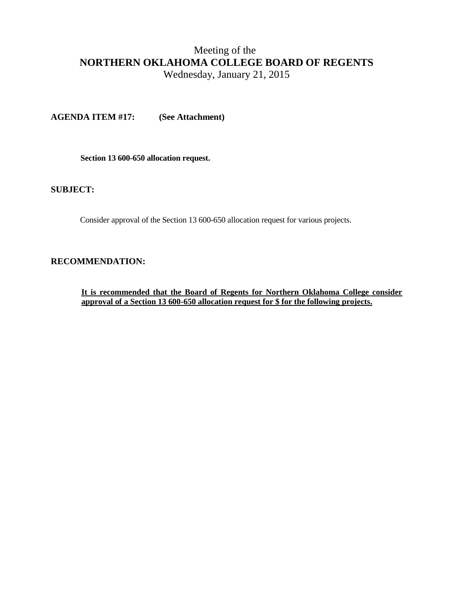Wednesday, January 21, 2015

**AGENDA ITEM #17: (See Attachment)**

 **Section 13 600-650 allocation request.** 

#### **SUBJECT:**

Consider approval of the Section 13 600-650 allocation request for various projects.

#### **RECOMMENDATION:**

**It is recommended that the Board of Regents for Northern Oklahoma College consider approval of a Section 13 600-650 allocation request for \$ for the following projects.**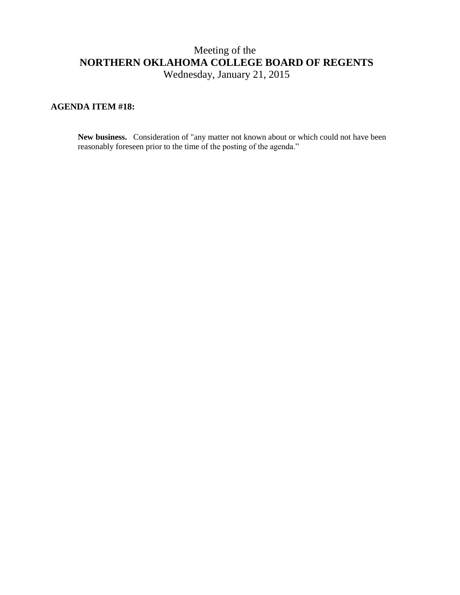### **AGENDA ITEM #18:**

**New business.** Consideration of "any matter not known about or which could not have been reasonably foreseen prior to the time of the posting of the agenda."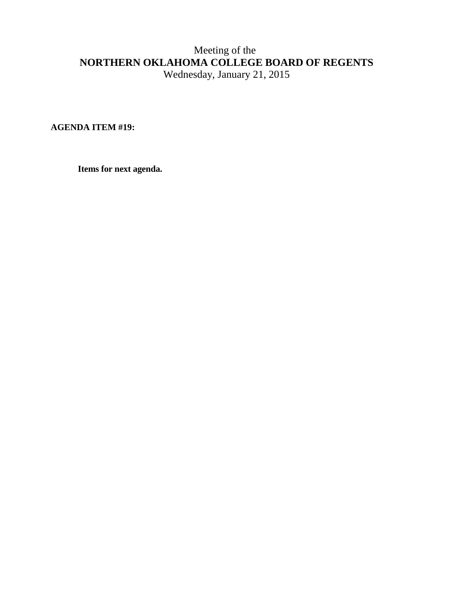**AGENDA ITEM #19:**

**Items for next agenda.**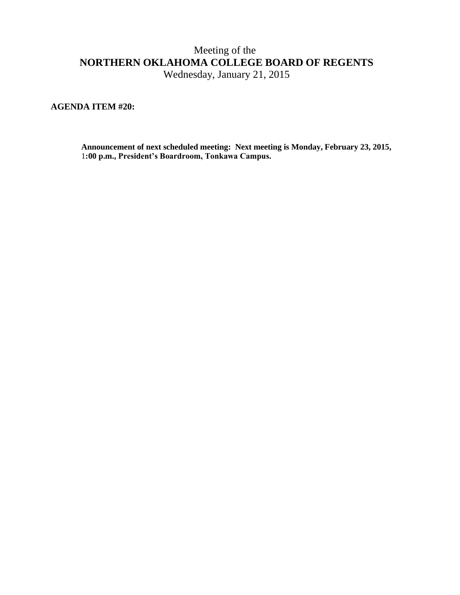Wednesday, January 21, 2015

### **AGENDA ITEM #20:**

**Announcement of next scheduled meeting: Next meeting is Monday, February 23, 2015,** 1**:00 p.m., President's Boardroom, Tonkawa Campus.**